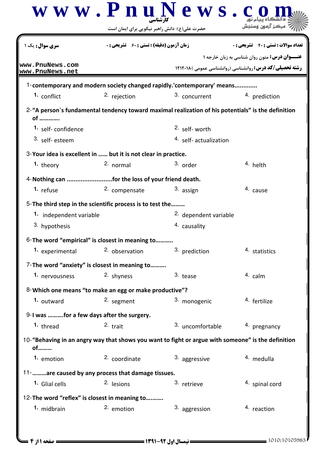|                                                                                                                                | حضرت علی(ع): دانش راهبر نیکویی برای ایمان است      | www.PnuNews.c                    | ہرکز آنہ                                                                                                                |  |  |
|--------------------------------------------------------------------------------------------------------------------------------|----------------------------------------------------|----------------------------------|-------------------------------------------------------------------------------------------------------------------------|--|--|
| <b>سری سوال :</b> یک ۱                                                                                                         | <b>زمان آزمون (دقیقه) : تستی : 60 ٪ تشریحی : 0</b> |                                  | <b>تعداد سوالات : تستي : 40 ٪ تشريحي : 0</b>                                                                            |  |  |
| www.PnuNews.com<br>www.PnuNews.net                                                                                             |                                                    |                                  | <b>عنـــوان درس:</b> متون روان شناسی به زبان خارجه ۱<br><b>رشته تحصیلی/کد درس: روانشناسی (روانشناسی عمومی ) ۱۲۱۲۰۱۸</b> |  |  |
| 1-contemporary and modern society changed rapidly.'contemporary' means                                                         |                                                    |                                  |                                                                                                                         |  |  |
| 1. conflict                                                                                                                    | 2. rejection                                       | 3. concurrent                    | 4. prediction                                                                                                           |  |  |
| 2-"A person's fundamental tendency toward maximal realization of his potentials" is the definition<br>of<br>1. self-confidence |                                                    | 2. self-worth                    |                                                                                                                         |  |  |
| 3. self-esteem                                                                                                                 |                                                    | <sup>4.</sup> self-actualization |                                                                                                                         |  |  |
| 3-Your idea is excellent in  but it is not clear in practice.                                                                  |                                                    |                                  |                                                                                                                         |  |  |
| 1. theory                                                                                                                      | 2. normal                                          | 3. order                         | 4. helth                                                                                                                |  |  |
| 4- Nothing can for the loss of your friend death.                                                                              |                                                    |                                  |                                                                                                                         |  |  |
| 1. refuse                                                                                                                      | 2. compensate                                      | 3. assign                        | 4. cause                                                                                                                |  |  |
| 5-The third step in the scientific process is to test the                                                                      |                                                    |                                  |                                                                                                                         |  |  |
| 1. independent variable                                                                                                        |                                                    | 2. dependent variable            |                                                                                                                         |  |  |
| 3. hypothesis                                                                                                                  |                                                    | 4. causality                     |                                                                                                                         |  |  |
| 6-The word "empirical" is closest in meaning to                                                                                |                                                    |                                  |                                                                                                                         |  |  |
| 1. experimental                                                                                                                | 2. observation                                     | 3. prediction                    | 4. statistics                                                                                                           |  |  |
| 7-The word "anxiety" is closest in meaning to                                                                                  |                                                    |                                  |                                                                                                                         |  |  |
| 1. nervousness                                                                                                                 | 2. shyness                                         | $3.$ tease                       | 4. calm                                                                                                                 |  |  |
| 8-Which one means "to make an egg or make productive"?                                                                         |                                                    |                                  |                                                                                                                         |  |  |
| 1. outward                                                                                                                     | 2. segment                                         | 3. monogenic                     | 4. fertilize                                                                                                            |  |  |
| 9-I was for a few days after the surgery.                                                                                      |                                                    |                                  |                                                                                                                         |  |  |
| 1. thread                                                                                                                      | $2.$ trait                                         | 3. uncomfortable                 | 4. pregnancy                                                                                                            |  |  |
| 10-"Behaving in an angry way that shows you want to fight or argue with someone" is the definition<br>of                       |                                                    |                                  |                                                                                                                         |  |  |
| 1. emotion                                                                                                                     | 2. coordinate                                      | 3. aggressive                    | 4. medulla                                                                                                              |  |  |
| 11-   are caused by any process that damage tissues.                                                                           |                                                    |                                  |                                                                                                                         |  |  |
| 1. Glial cells                                                                                                                 | 2. lesions                                         | 3. retrieve                      | 4. spinal cord                                                                                                          |  |  |
| 12-The word "reflex" is closest in meaning to                                                                                  |                                                    |                                  |                                                                                                                         |  |  |
| 1. midbrain                                                                                                                    | 2. emotion                                         | 3. aggression                    | 4. reaction                                                                                                             |  |  |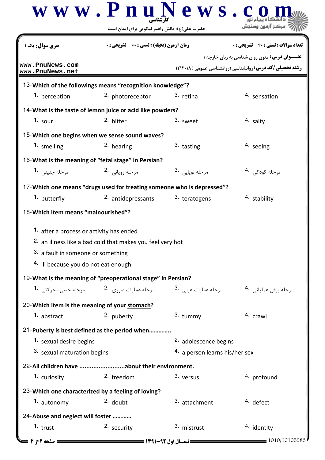|                                               | www.PnuNews.c                                                                       |                                |                                                                  |
|-----------------------------------------------|-------------------------------------------------------------------------------------|--------------------------------|------------------------------------------------------------------|
|                                               | حضرت علی(ع): دانش راهبر نیکویی برای ایمان است                                       |                                |                                                                  |
| <b>سری سوال :</b> یک                          | <b>زمان آزمون (دقیقه) : تستی : 60 ٪ تشریحی: 0</b>                                   |                                | <b>تعداد سوالات : تستی : ۴۰ ٪ تشریحی : 0</b>                     |
|                                               |                                                                                     |                                | <b>عنـــوان درس:</b> متون روان شناسی به زبان خارجه ۱             |
| www.PnuNews.com<br>www.PnuNews.net            |                                                                                     |                                | <b>رشته تحصیلی/کد درس: روانشناسی (روانشناسی عمومی )۱۲۱۲۰۱۸ (</b> |
|                                               | 13-Which of the followings means "recognition knowledge"?                           |                                |                                                                  |
| 1. perception                                 | <sup>2.</sup> photoreceptor                                                         | 3. retina                      | 4. sensation                                                     |
|                                               | 14-What is the taste of lemon juice or acid like powders?                           |                                |                                                                  |
| 1. sour                                       | 2. bitter                                                                           | 3. sweet                       | 4. salty                                                         |
|                                               | 15-Which one begins when we sense sound waves?                                      |                                |                                                                  |
| 1. smelling                                   | 2. hearing                                                                          | 3. tasting                     | 4. seeing                                                        |
|                                               | 16-What is the meaning of "fetal stage" in Persian?                                 |                                |                                                                  |
| مرحله جنيني 1.                                | مرحله روياني 2.                                                                     | مرحله نوپايي .3                | مرحله کودکی۔ <sup>4</sup>                                        |
|                                               | 17-Which one means "drugs used for treating someone who is depressed"?              |                                |                                                                  |
| 1. butterfly                                  | 2. antidepressants                                                                  | 3. teratogens                  | 4. stability                                                     |
| 18-Which item means "malnourished"?           |                                                                                     |                                |                                                                  |
| 1. after a process or activity has ended      |                                                                                     |                                |                                                                  |
|                                               | <sup>2.</sup> an illness like a bad cold that makes you feel very hot               |                                |                                                                  |
| 3. a fault in someone or something            |                                                                                     |                                |                                                                  |
| 4. ill because you do not eat enough          |                                                                                     |                                |                                                                  |
|                                               | 19-What is the meaning of "preoperational stage" in Persian?                        |                                |                                                                  |
|                                               | مرحله عملیات عینی <sup>.3</sup> مرحله عملیات صوری <sup>.2</sup> مرحله حسی- حرکتی .1 |                                | مرحله پيش عملياتي. <sup>4</sup> ۰                                |
| 20-Which item is the meaning of your stomach? |                                                                                     |                                |                                                                  |
| 1. abstract                                   | 2. puberty                                                                          | 3. tummy                       | 4. crawl                                                         |
|                                               | 21-Puberty is best defined as the period when                                       |                                |                                                                  |
| 1. sexual desire begins                       |                                                                                     | 2. adolescence begins          |                                                                  |
| 3. sexual maturation begins                   |                                                                                     | 4. a person learns his/her sex |                                                                  |
|                                               | 22-All children have about their environment.                                       |                                |                                                                  |
| 1. curiosity                                  | 2. freedom                                                                          | 3. versus                      | 4. profound                                                      |
|                                               | 23-Which one characterized by a feeling of loving?                                  |                                |                                                                  |
| 1. autonomy                                   | $2.$ doubt                                                                          | 3. attachment                  | <sup>4</sup> defect                                              |
| 24-Abuse and neglect will foster              |                                                                                     |                                |                                                                  |
| $1.$ trust                                    | 2. security                                                                         | 3. mistrust                    | 4. identity                                                      |
| = صفحه 12ز 4                                  | <b>۔ نیمسال اول ۹۲-۱۳۹۱ ــــــــــ</b>                                              |                                | = 1010/10105983                                                  |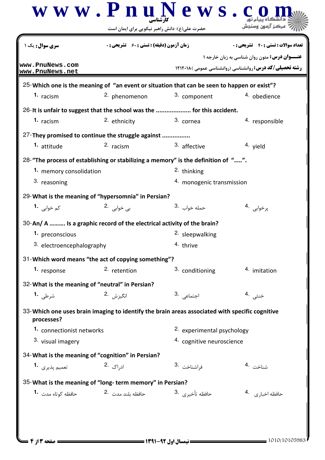| <b>سری سوال :</b> یک                            | <b>زمان آزمون (دقیقه) : تستی : 60 تشریحی : 0</b>                      |                                                                                                | <b>تعداد سوالات : تستي : 40 ٪ تشريحي : 0</b>                                                                            |
|-------------------------------------------------|-----------------------------------------------------------------------|------------------------------------------------------------------------------------------------|-------------------------------------------------------------------------------------------------------------------------|
| www.PnuNews.com<br>www.PnuNews.net              |                                                                       |                                                                                                | <b>عنـــوان درس:</b> متون روان شناسی به زبان خارجه ۱<br><b>رشته تحصیلی/کد درس: روانشناسی (روانشناسی عمومی ) ۱۲۱۲۰۱۸</b> |
|                                                 |                                                                       | 25-Which one is the meaning of "an event or situation that can be seen to happen or exist"?    |                                                                                                                         |
| 1. racism                                       | <sup>2.</sup> phenomenon                                              | 3. component                                                                                   | 4. obedience                                                                                                            |
|                                                 |                                                                       | 26-It is unfair to suggest that the school was the  for this accident.                         |                                                                                                                         |
| 1. racism                                       | 2. ethnicity                                                          | 3. cornea                                                                                      | 4. responsible                                                                                                          |
|                                                 | 27-They promised to continue the struggle against                     |                                                                                                |                                                                                                                         |
| 1. attitude                                     | 2. racism                                                             | 3. affective                                                                                   | 4. yield                                                                                                                |
|                                                 |                                                                       | 28-"The process of establishing or stabilizing a memory" is the definition of "".              |                                                                                                                         |
| 1. memory consolidation                         |                                                                       | <sup>2</sup> thinking                                                                          |                                                                                                                         |
| 3. reasoning                                    |                                                                       | 4. monogenic transmission                                                                      |                                                                                                                         |
|                                                 | 29-What is the meaning of "hypersomnia" in Persian?                   |                                                                                                |                                                                                                                         |
| کم خوابی <b>1.</b>                              | بی خواب <sub>ی</sub> .2                                               | حمله خواب .3                                                                                   | پرخوابی .4                                                                                                              |
|                                                 | 30-An/A  Is a graphic record of the electrical activity of the brain? |                                                                                                |                                                                                                                         |
| 1. preconscious                                 |                                                                       | <sup>2.</sup> sleepwalking                                                                     |                                                                                                                         |
| 3. electroencephalography                       |                                                                       | <sup>4</sup> thrive                                                                            |                                                                                                                         |
|                                                 | 31-Which word means "the act of copying something"?                   |                                                                                                |                                                                                                                         |
| 1. response                                     | 2. retention                                                          | 3. conditioning                                                                                | 4. imitation                                                                                                            |
| 32-What is the meaning of "neutral" in Persian? |                                                                       |                                                                                                |                                                                                                                         |
| شرطی <b>1.</b>                                  | انگيزش .2                                                             | 3. اجتما <i>عی</i> ا                                                                           | خنثی <sup>.4</sup>                                                                                                      |
|                                                 |                                                                       |                                                                                                |                                                                                                                         |
| processes?                                      |                                                                       | 33-Which one uses brain imaging to identify the brain areas associated with specific cognitive |                                                                                                                         |
| 1. connectionist networks                       |                                                                       | 2. experimental psychology                                                                     |                                                                                                                         |
| 3. visual imagery                               |                                                                       | 4. cognitive neuroscience                                                                      |                                                                                                                         |
|                                                 | 34- What is the meaning of "cognition" in Persian?                    |                                                                                                |                                                                                                                         |
| تعميم يذيري 1.                                  | اد <sub>ر</sub> اک 2.                                                 | فراشناخت .3                                                                                    | شناخت <sup>.4</sup>                                                                                                     |
|                                                 | 35-What is the meaning of "long-term memory" in Persian?              |                                                                                                |                                                                                                                         |
| حافظه کوتاه مدت <b>1۰</b>                       | حافظه بلند مدت 2.                                                     | حافظه تأخيري <sup>.3</sup>                                                                     | حافظه اخبا <sub>ری</sub> 4.                                                                                             |
|                                                 |                                                                       |                                                                                                |                                                                                                                         |